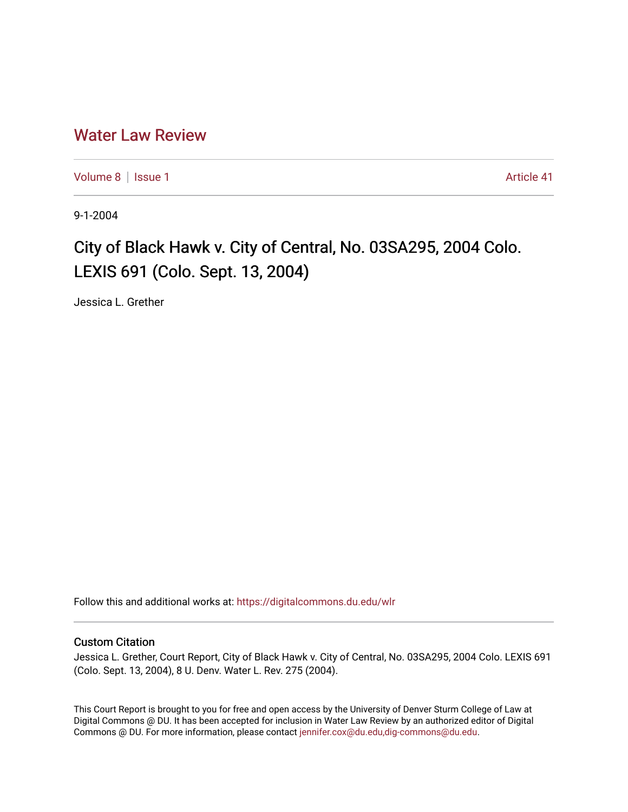## [Water Law Review](https://digitalcommons.du.edu/wlr)

[Volume 8](https://digitalcommons.du.edu/wlr/vol8) | [Issue 1](https://digitalcommons.du.edu/wlr/vol8/iss1) Article 41

9-1-2004

## City of Black Hawk v. City of Central, No. 03SA295, 2004 Colo. LEXIS 691 (Colo. Sept. 13, 2004)

Jessica L. Grether

Follow this and additional works at: [https://digitalcommons.du.edu/wlr](https://digitalcommons.du.edu/wlr?utm_source=digitalcommons.du.edu%2Fwlr%2Fvol8%2Fiss1%2F41&utm_medium=PDF&utm_campaign=PDFCoverPages) 

## Custom Citation

Jessica L. Grether, Court Report, City of Black Hawk v. City of Central, No. 03SA295, 2004 Colo. LEXIS 691 (Colo. Sept. 13, 2004), 8 U. Denv. Water L. Rev. 275 (2004).

This Court Report is brought to you for free and open access by the University of Denver Sturm College of Law at Digital Commons @ DU. It has been accepted for inclusion in Water Law Review by an authorized editor of Digital Commons @ DU. For more information, please contact [jennifer.cox@du.edu,dig-commons@du.edu.](mailto:jennifer.cox@du.edu,dig-commons@du.edu)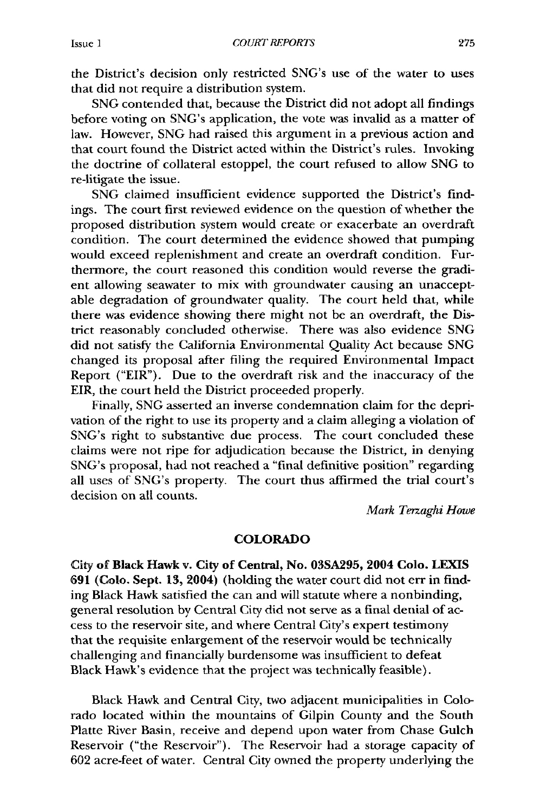the District's decision only restricted SNG's use of the water to uses that did not require a distribution system.

**SNG** contended that, because the District did not adopt all findings before voting on SNG's application, the vote was invalid as a matter of law. However, **SNG** had raised this argument in a previous action and that court found the District acted within the District's rules. Invoking the doctrine of collateral estoppel, the court refused to allow **SNG** to re-litigate the issue.

**SNG** claimed insufficient evidence supported the District's findings. The court first reviewed evidence on the question of whether the proposed distribution system would create or exacerbate an overdraft condition. The court determined the evidence showed that pumping would exceed replenishment and create an overdraft condition. Furthermore, the court reasoned this condition would reverse the gradient allowing seawater to mix with groundwater causing an unacceptable degradation of groundwater quality. The court held that, while there was evidence showing there might not be an overdraft, the District reasonably concluded otherwise. There was also evidence **SNG** did not satisfy the California Environmental Quality Act because **SNG** changed its proposal after filing the required Environmental Impact Report ("EIR"). Due to the overdraft risk and the inaccuracy of the EIR, the court held the District proceeded properly.

Finally, **SNG** asserted an inverse condemnation claim for the deprivation of the right to use its property and a claim alleging a violation of SNG's right to substantive due process. The court concluded these claims were not ripe for adjudication because the District, in denying SNG's proposal, had not reached a "final definitive position" regarding all uses of SNG's property. The court thus affirmed the trial court's decision on all counts.

*Mark Terzaghi Howe*

## COLORADO

City of Black Hawk v. City of Central, No. **03SA295,** 2004 **Colo. LEXIS 691** (Colo. Sept. **13,** 2004) (holding the water court did not err in finding Black Hawk satisfied the can and will statute where a nonbinding, general resolution **by** Central City did not serve as a final denial of access to the reservoir site, and where Central City's expert testimony that the requisite enlargement of the reservoir would be technically challenging and financially burdensome was insufficient to defeat Black Hawk's evidence that the project was technically feasible).

Black Hawk and Central City, two adjacent municipalities in Colorado located within the mountains of Gilpin County and the South Platte River Basin, receive and depend upon water from Chase Gulch Reservoir ("the Reservoir"). The Reservoir had a storage capacity of **602** acre-feet of water. Central City owned the property underlying the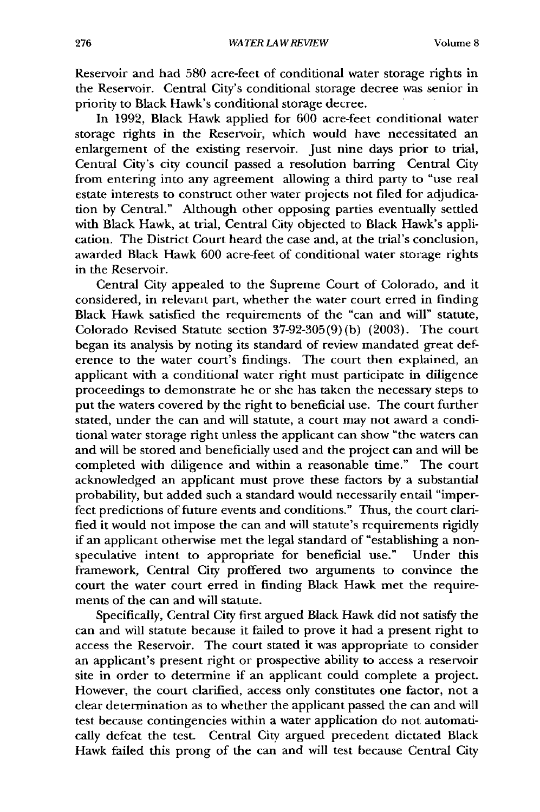Reservoir and had 580 acre-feet of conditional water storage rights in the Reservoir. Central City's conditional storage decree was senior in priority to Black Hawk's conditional storage decree.

In 1992, Black Hawk applied for 600 acre-feet conditional water storage rights in the Reservoir, which would have necessitated an enlargement of the existing reservoir. Just nine days prior to trial, Central City's city council passed a resolution barring Central City from entering into any agreement allowing a third party to "use real estate interests to construct other water projects not filed for adjudication by Central." Although other opposing parties eventually settled with Black Hawk, at trial, Central City objected to Black Hawk's application. The District Court heard the case and, at the trial's conclusion, awarded Black Hawk 600 acre-feet of conditional water storage rights in the Reservoir.

Central City appealed to the Supreme Court of Colorado, and it considered, in relevant part, whether the water court erred in finding Black Hawk satisfied the requirements of the "can and will" statute, Colorado Revised Statute section 37-92-305(9) (b) (2003). The court began its analysis by noting its standard of review mandated great deference to the water court's findings. The court then explained, an applicant with a conditional water right must participate in diligence proceedings to demonstrate he or she has taken the necessary steps to put the waters covered by the right to beneficial use. The court further stated, under the can and will statute, a court may not award a conditional water storage right unless the applicant can show "the waters can and will be stored and beneficially used and the project can and will be completed with diligence and within a reasonable time." The court acknowledged an applicant must prove these factors by a substantial probability, but added such a standard would necessarily entail "imperfect predictions of future events and conditions." Thus, the court clarified it would not impose the can and will statute's requirements rigidly if an applicant otherwise met the legal standard of "establishing a nonspeculative intent to appropriate for beneficial use." Under this framework, Central City proffered two arguments to convince the court the water court erred in finding Black Hawk met the requirements of the can and will statute.

Specifically, Central City first argued Black Hawk did not satisfy the can and will statute because it failed to prove it had a present right to access the Reservoir. The court stated it was appropriate to consider an applicant's present right or prospective ability to access a reservoir site in order to determine if an applicant could complete a project. However, the court clarified, access only constitutes one factor, not a clear determination as to whether the applicant passed the can and will test because contingencies within a water application do not automatically defeat the test. Central City argued precedent dictated Black Hawk failed this prong of the can and will test because Central City